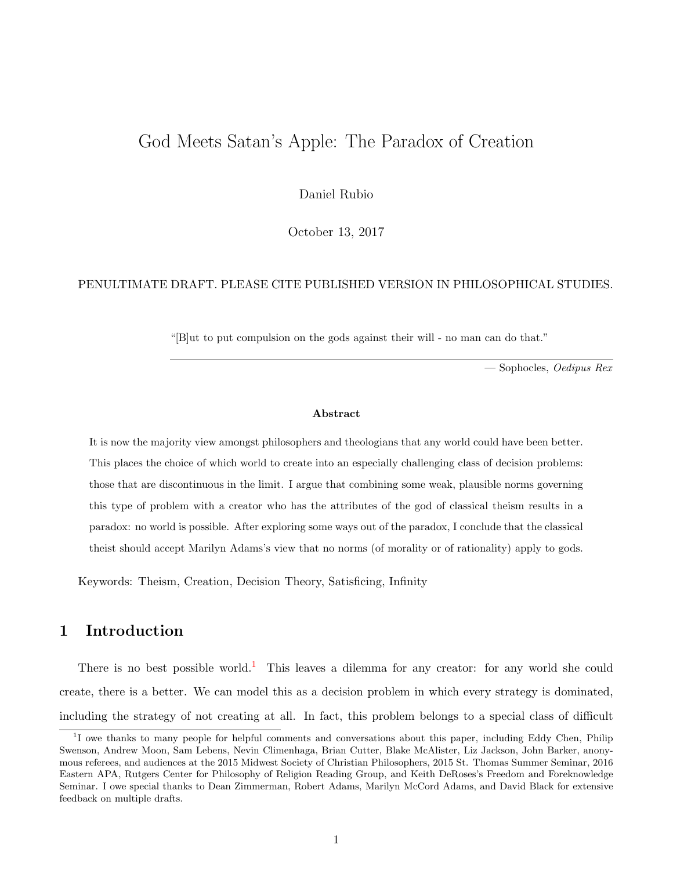# <span id="page-0-0"></span>God Meets Satan's Apple: The Paradox of Creation

Daniel Rubio

October 13, 2017

#### PENULTIMATE DRAFT. PLEASE CITE PUBLISHED VERSION IN PHILOSOPHICAL STUDIES.

"[B]ut to put compulsion on the gods against their will - no man can do that."

— Sophocles, Oedipus Rex

#### Abstract

It is now the majority view amongst philosophers and theologians that any world could have been better. This places the choice of which world to create into an especially challenging class of decision problems: those that are discontinuous in the limit. I argue that combining some weak, plausible norms governing this type of problem with a creator who has the attributes of the god of classical theism results in a paradox: no world is possible. After exploring some ways out of the paradox, I conclude that the classical theist should accept Marilyn Adams's view that no norms (of morality or of rationality) apply to gods.

Keywords: Theism, Creation, Decision Theory, Satisficing, Infinity

## 1 Introduction

There is no best possible world.<sup>1</sup> This leaves a dilemma for any creator: for any world she could create, there is a better. We can model this as a decision problem in which every strategy is dominated, including the strategy of not creating at all. In fact, this problem belongs to a special class of difficult

<sup>&</sup>lt;sup>1</sup>I owe thanks to many people for helpful comments and conversations about this paper, including Eddy Chen, Philip Swenson, Andrew Moon, Sam Lebens, Nevin Climenhaga, Brian Cutter, Blake McAlister, Liz Jackson, John Barker, anonymous referees, and audiences at the 2015 Midwest Society of Christian Philosophers, 2015 St. Thomas Summer Seminar, 2016 Eastern APA, Rutgers Center for Philosophy of Religion Reading Group, and Keith DeRoses's Freedom and Foreknowledge Seminar. I owe special thanks to Dean Zimmerman, Robert Adams, Marilyn McCord Adams, and David Black for extensive feedback on multiple drafts.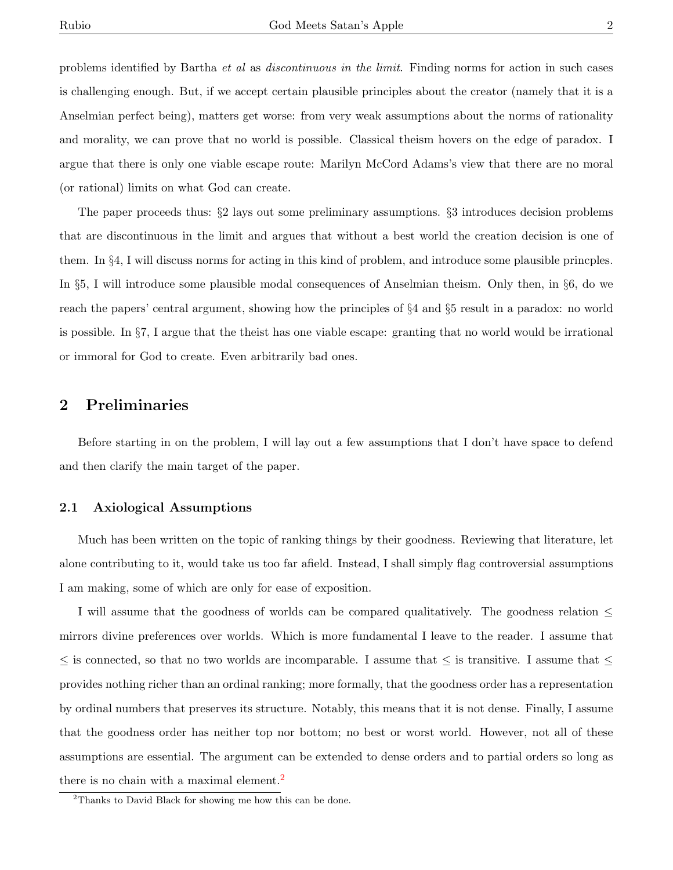problems identified by Bartha et al as discontinuous in the limit. Finding norms for action in such cases is challenging enough. But, if we accept certain plausible principles about the creator (namely that it is a Anselmian perfect being), matters get worse: from very weak assumptions about the norms of rationality

and morality, we can prove that no world is possible. Classical theism hovers on the edge of paradox. I argue that there is only one viable escape route: Marilyn McCord Adams's view that there are no moral (or rational) limits on what God can create.

The paper proceeds thus: §2 lays out some preliminary assumptions. §3 introduces decision problems that are discontinuous in the limit and argues that without a best world the creation decision is one of them. In §4, I will discuss norms for acting in this kind of problem, and introduce some plausible princples. In §5, I will introduce some plausible modal consequences of Anselmian theism. Only then, in §6, do we reach the papers' central argument, showing how the principles of §4 and §5 result in a paradox: no world is possible. In §7, I argue that the theist has one viable escape: granting that no world would be irrational or immoral for God to create. Even arbitrarily bad ones.

## 2 Preliminaries

Before starting in on the problem, I will lay out a few assumptions that I don't have space to defend and then clarify the main target of the paper.

#### 2.1 Axiological Assumptions

Much has been written on the topic of ranking things by their goodness. Reviewing that literature, let alone contributing to it, would take us too far afield. Instead, I shall simply flag controversial assumptions I am making, some of which are only for ease of exposition.

I will assume that the goodness of worlds can be compared qualitatively. The goodness relation ≤ mirrors divine preferences over worlds. Which is more fundamental I leave to the reader. I assume that  $\leq$  is connected, so that no two worlds are incomparable. I assume that  $\leq$  is transitive. I assume that  $\leq$ provides nothing richer than an ordinal ranking; more formally, that the goodness order has a representation by ordinal numbers that preserves its structure. Notably, this means that it is not dense. Finally, I assume that the goodness order has neither top nor bottom; no best or worst world. However, not all of these assumptions are essential. The argument can be extended to dense orders and to partial orders so long as there is no chain with a maximal element.<sup>[2](#page-0-0)</sup>

<sup>&</sup>lt;sup>2</sup>Thanks to David Black for showing me how this can be done.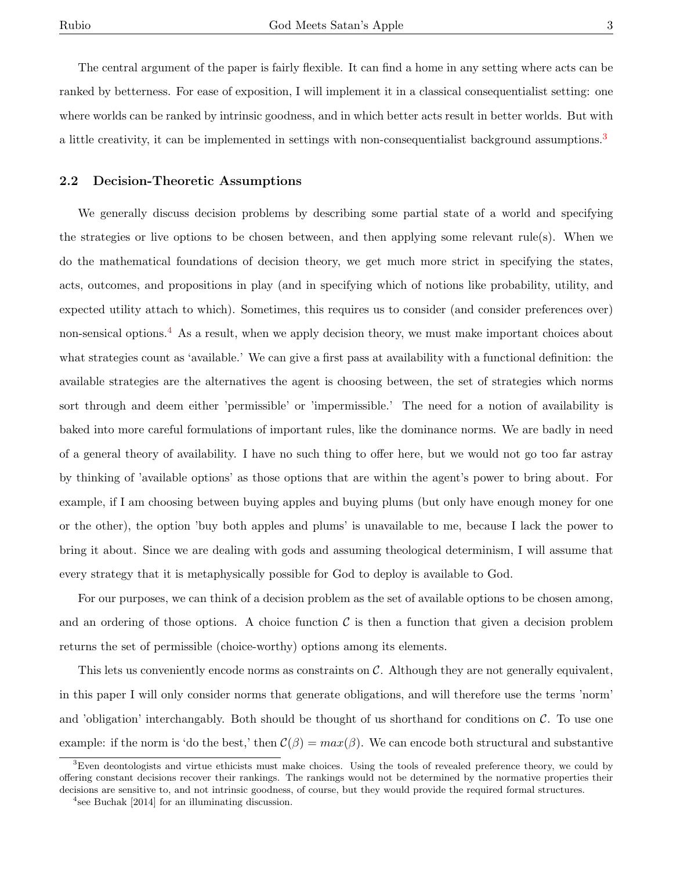The central argument of the paper is fairly flexible. It can find a home in any setting where acts can be ranked by betterness. For ease of exposition, I will implement it in a classical consequentialist setting: one where worlds can be ranked by intrinsic goodness, and in which better acts result in better worlds. But with a little creativity, it can be implemented in settings with non-consequentialist background assumptions.<sup>[3](#page-0-0)</sup>

#### 2.2 Decision-Theoretic Assumptions

We generally discuss decision problems by describing some partial state of a world and specifying the strategies or live options to be chosen between, and then applying some relevant rule(s). When we do the mathematical foundations of decision theory, we get much more strict in specifying the states, acts, outcomes, and propositions in play (and in specifying which of notions like probability, utility, and expected utility attach to which). Sometimes, this requires us to consider (and consider preferences over) non-sensical options.[4](#page-0-0) As a result, when we apply decision theory, we must make important choices about what strategies count as 'available.' We can give a first pass at availability with a functional definition: the available strategies are the alternatives the agent is choosing between, the set of strategies which norms sort through and deem either 'permissible' or 'impermissible.' The need for a notion of availability is baked into more careful formulations of important rules, like the dominance norms. We are badly in need of a general theory of availability. I have no such thing to offer here, but we would not go too far astray by thinking of 'available options' as those options that are within the agent's power to bring about. For example, if I am choosing between buying apples and buying plums (but only have enough money for one or the other), the option 'buy both apples and plums' is unavailable to me, because I lack the power to bring it about. Since we are dealing with gods and assuming theological determinism, I will assume that every strategy that it is metaphysically possible for God to deploy is available to God.

For our purposes, we can think of a decision problem as the set of available options to be chosen among, and an ordering of those options. A choice function  $\mathcal C$  is then a function that given a decision problem returns the set of permissible (choice-worthy) options among its elements.

This lets us conveniently encode norms as constraints on C. Although they are not generally equivalent, in this paper I will only consider norms that generate obligations, and will therefore use the terms 'norm' and 'obligation' interchangably. Both should be thought of us shorthand for conditions on  $\mathcal{C}$ . To use one example: if the norm is 'do the best,' then  $\mathcal{C}(\beta) = max(\beta)$ . We can encode both structural and substantive

<sup>&</sup>lt;sup>3</sup>Even deontologists and virtue ethicists must make choices. Using the tools of revealed preference theory, we could by offering constant decisions recover their rankings. The rankings would not be determined by the normative properties their decisions are sensitive to, and not intrinsic goodness, of course, but they would provide the required formal structures.

<sup>4</sup> see Buchak [2014] for an illuminating discussion.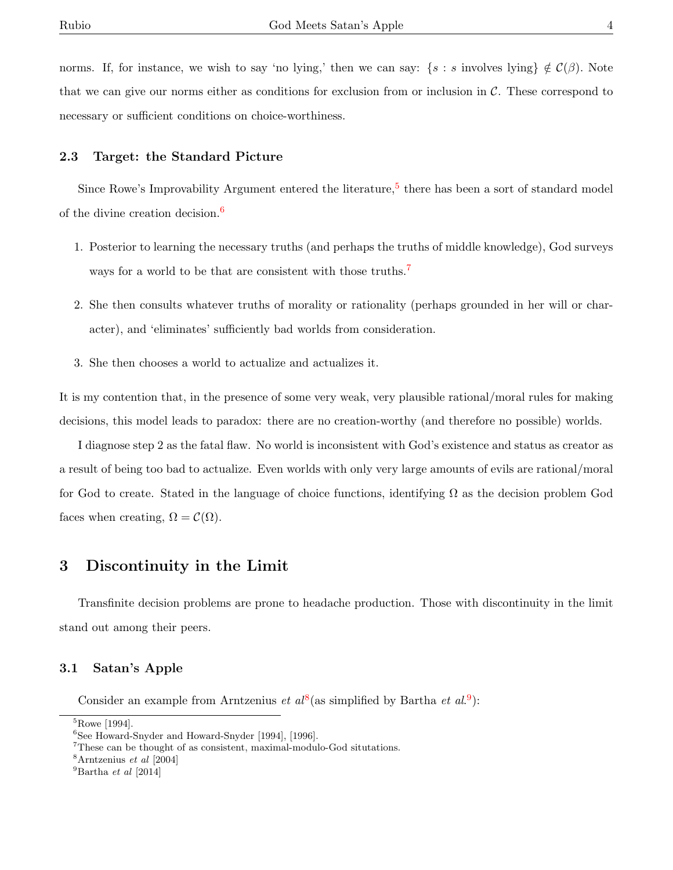norms. If, for instance, we wish to say 'no lying,' then we can say:  $\{s : s \text{ involves lying}\}\notin C(\beta)$ . Note that we can give our norms either as conditions for exclusion from or inclusion in  $\mathcal{C}$ . These correspond to necessary or sufficient conditions on choice-worthiness.

#### 2.3 Target: the Standard Picture

Since Rowe's Improvability Argument entered the literature,<sup>[5](#page-0-0)</sup> there has been a sort of standard model of the divine creation decision.<sup>[6](#page-0-0)</sup>

- 1. Posterior to learning the necessary truths (and perhaps the truths of middle knowledge), God surveys ways for a world to be that are consistent with those truths.<sup>[7](#page-0-0)</sup>
- 2. She then consults whatever truths of morality or rationality (perhaps grounded in her will or character), and 'eliminates' sufficiently bad worlds from consideration.
- 3. She then chooses a world to actualize and actualizes it.

It is my contention that, in the presence of some very weak, very plausible rational/moral rules for making decisions, this model leads to paradox: there are no creation-worthy (and therefore no possible) worlds.

I diagnose step 2 as the fatal flaw. No world is inconsistent with God's existence and status as creator as a result of being too bad to actualize. Even worlds with only very large amounts of evils are rational/moral for God to create. Stated in the language of choice functions, identifying  $\Omega$  as the decision problem God faces when creating,  $\Omega = \mathcal{C}(\Omega)$ .

### 3 Discontinuity in the Limit

Transfinite decision problems are prone to headache production. Those with discontinuity in the limit stand out among their peers.

#### 3.1 Satan's Apple

Consider an example from Arntzenius *et al*<sup>[8](#page-0-0)</sup>(as simplified by Bartha *et al.*<sup>[9](#page-0-0)</sup>):

<sup>5</sup>Rowe [1994].

<sup>6</sup>See Howard-Snyder and Howard-Snyder [1994], [1996].

<sup>7</sup>These can be thought of as consistent, maximal-modulo-God situtations.

<sup>8</sup>Arntzenius et al [2004]

 $^{9}$ Bartha et al [2014]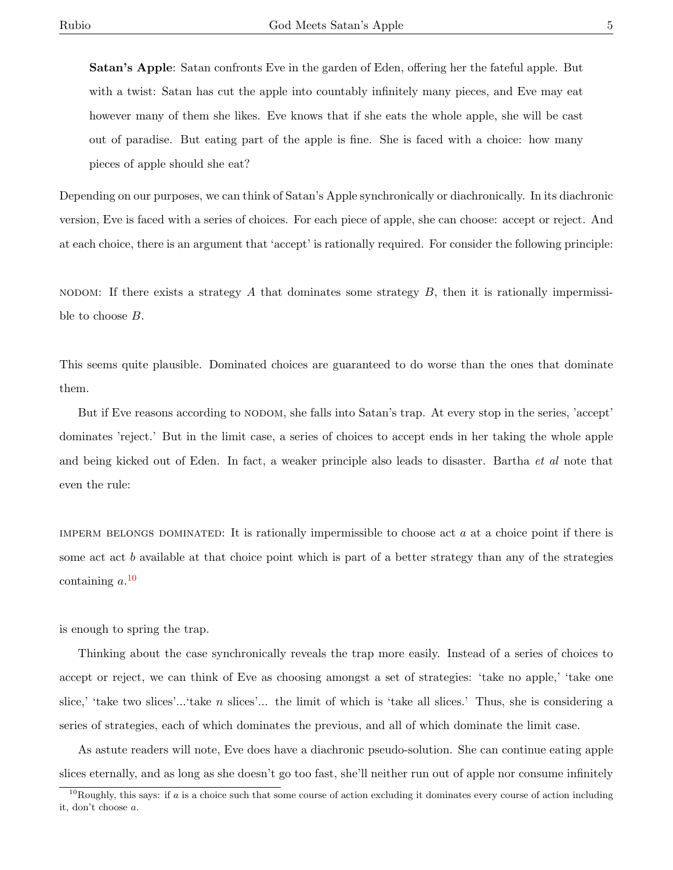Satan's Apple: Satan confronts Eve in the garden of Eden, offering her the fateful apple. But with a twist: Satan has cut the apple into countably infinitely many pieces, and Eve may eat however many of them she likes. Eve knows that if she eats the whole apple, she will be cast out of paradise. But eating part of the apple is fine. She is faced with a choice: how many pieces of apple should she eat?

Depending on our purposes, we can think of Satan's Apple synchronically or diachronically. In its diachronic version, Eve is faced with a series of choices. For each piece of apple, she can choose: accept or reject. And at each choice, there is an argument that 'accept' is rationally required. For consider the following principle:

NODOM: If there exists a strategy A that dominates some strategy B, then it is rationally impermissible to choose B.

This seems quite plausible. Dominated choices are guaranteed to do worse than the ones that dominate them.

But if Eve reasons according to nodom, she falls into Satan's trap. At every stop in the series, 'accept' dominates 'reject.' But in the limit case, a series of choices to accept ends in her taking the whole apple and being kicked out of Eden. In fact, a weaker principle also leads to disaster. Bartha et al note that even the rule:

IMPERM BELONGS DOMINATED: It is rationally impermissible to choose act  $a$  at a choice point if there is some act act b available at that choice point which is part of a better strategy than any of the strategies containing  $a.$ <sup>[10](#page-0-0)</sup>

is enough to spring the trap.

Thinking about the case synchronically reveals the trap more easily. Instead of a series of choices to accept or reject, we can think of Eve as choosing amongst a set of strategies: 'take no apple,' 'take one slice,' 'take two slices'...'take n slices'... the limit of which is 'take all slices.' Thus, she is considering a series of strategies, each of which dominates the previous, and all of which dominate the limit case.

As astute readers will note, Eve does have a diachronic pseudo-solution. She can continue eating apple slices eternally, and as long as she doesn't go too fast, she'll neither run out of apple nor consume infinitely

 $10R$ oughly, this says: if a is a choice such that some course of action excluding it dominates every course of action including it, don't choose a.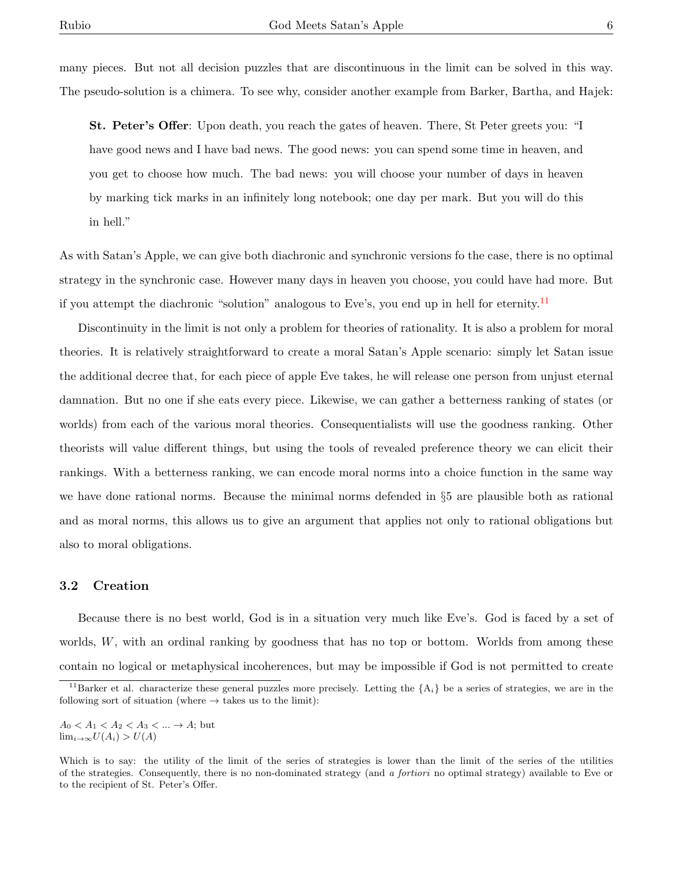many pieces. But not all decision puzzles that are discontinuous in the limit can be solved in this way. The pseudo-solution is a chimera. To see why, consider another example from Barker, Bartha, and Hajek:

St. Peter's Offer: Upon death, you reach the gates of heaven. There, St Peter greets you: "I have good news and I have bad news. The good news: you can spend some time in heaven, and you get to choose how much. The bad news: you will choose your number of days in heaven by marking tick marks in an infinitely long notebook; one day per mark. But you will do this in hell."

As with Satan's Apple, we can give both diachronic and synchronic versions fo the case, there is no optimal strategy in the synchronic case. However many days in heaven you choose, you could have had more. But if you attempt the diachronic "solution" analogous to Eve's, you end up in hell for eternity.<sup>[11](#page-0-0)</sup>

Discontinuity in the limit is not only a problem for theories of rationality. It is also a problem for moral theories. It is relatively straightforward to create a moral Satan's Apple scenario: simply let Satan issue the additional decree that, for each piece of apple Eve takes, he will release one person from unjust eternal damnation. But no one if she eats every piece. Likewise, we can gather a betterness ranking of states (or worlds) from each of the various moral theories. Consequentialists will use the goodness ranking. Other theorists will value different things, but using the tools of revealed preference theory we can elicit their rankings. With a betterness ranking, we can encode moral norms into a choice function in the same way we have done rational norms. Because the minimal norms defended in §5 are plausible both as rational and as moral norms, this allows us to give an argument that applies not only to rational obligations but also to moral obligations.

#### 3.2 Creation

Because there is no best world, God is in a situation very much like Eve's. God is faced by a set of worlds,  $W$ , with an ordinal ranking by goodness that has no top or bottom. Worlds from among these contain no logical or metaphysical incoherences, but may be impossible if God is not permitted to create

 $A_0 < A_1 < A_2 < A_3 < ... \rightarrow A;$  but  $\lim_{i\to\infty} U(A_i) > U(A)$ 

<sup>&</sup>lt;sup>11</sup>Barker et al. characterize these general puzzles more precisely. Letting the  $\{A_i\}$  be a series of strategies, we are in the following sort of situation (where  $\rightarrow$  takes us to the limit):

Which is to say: the utility of the limit of the series of strategies is lower than the limit of the series of the utilities of the strategies. Consequently, there is no non-dominated strategy (and a fortiori no optimal strategy) available to Eve or to the recipient of St. Peter's Offer.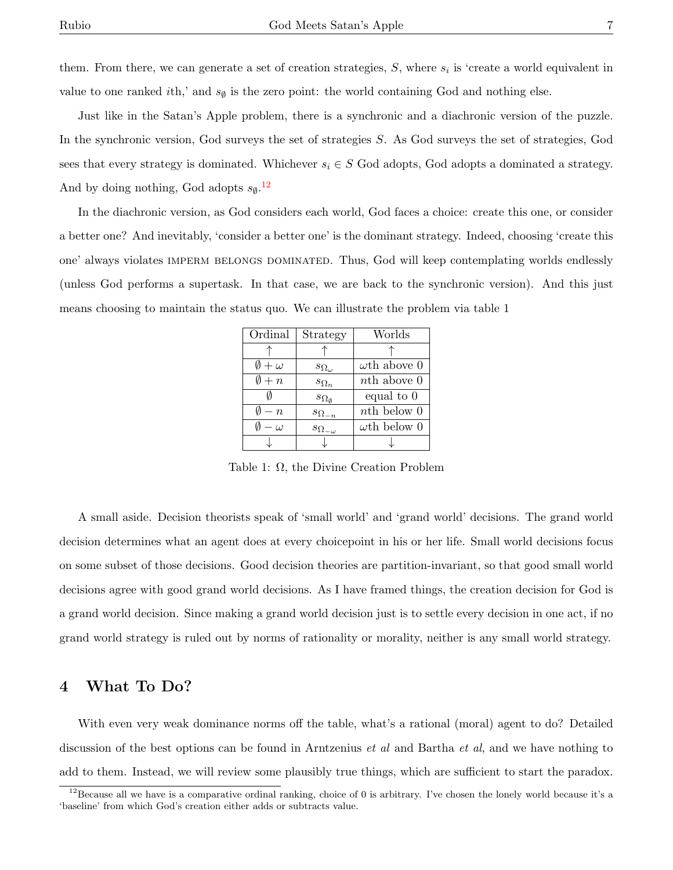them. From there, we can generate a set of creation strategies,  $S$ , where  $s_i$  is 'create a world equivalent in value to one ranked *i*th,' and  $s_{\emptyset}$  is the zero point: the world containing God and nothing else.

Just like in the Satan's Apple problem, there is a synchronic and a diachronic version of the puzzle. In the synchronic version, God surveys the set of strategies S. As God surveys the set of strategies, God sees that every strategy is dominated. Whichever  $s_i \in S$  God adopts, God adopts a dominated a strategy. And by doing nothing, God adopts  $s_{\emptyset}$ .<sup>[12](#page-0-0)</sup>

In the diachronic version, as God considers each world, God faces a choice: create this one, or consider a better one? And inevitably, 'consider a better one' is the dominant strategy. Indeed, choosing 'create this one' always violates IMPERM BELONGS DOMINATED. Thus, God will keep contemplating worlds endlessly (unless God performs a supertask. In that case, we are back to the synchronic version). And this just means choosing to maintain the status quo. We can illustrate the problem via table 1

| Ordinal              | Strategy                 | Worlds              |
|----------------------|--------------------------|---------------------|
|                      |                          |                     |
| $\emptyset + \omega$ | $s_{\Omega_\omega}$      | $\omega$ th above 0 |
| $\emptyset + n$      | $s_{\Omega_n}$           | nth above 0         |
|                      | $s_{\Omega_{\emptyset}}$ | equal to 0          |
| $\emptyset - n$      | $s_{\Omega_{-n}}$        | $nth$ below $0$     |
| $\omega$             | $s_{\Omega_{-\omega}}$   | $\omega$ th below 0 |
|                      |                          |                     |

Table 1: Ω, the Divine Creation Problem

A small aside. Decision theorists speak of 'small world' and 'grand world' decisions. The grand world decision determines what an agent does at every choicepoint in his or her life. Small world decisions focus on some subset of those decisions. Good decision theories are partition-invariant, so that good small world decisions agree with good grand world decisions. As I have framed things, the creation decision for God is a grand world decision. Since making a grand world decision just is to settle every decision in one act, if no grand world strategy is ruled out by norms of rationality or morality, neither is any small world strategy.

### 4 What To Do?

With even very weak dominance norms off the table, what's a rational (moral) agent to do? Detailed discussion of the best options can be found in Arntzenius *et al* and Bartha *et al*, and we have nothing to add to them. Instead, we will review some plausibly true things, which are sufficient to start the paradox.

<sup>&</sup>lt;sup>12</sup>Because all we have is a comparative ordinal ranking, choice of 0 is arbitrary. I've chosen the lonely world because it's a 'baseline' from which God's creation either adds or subtracts value.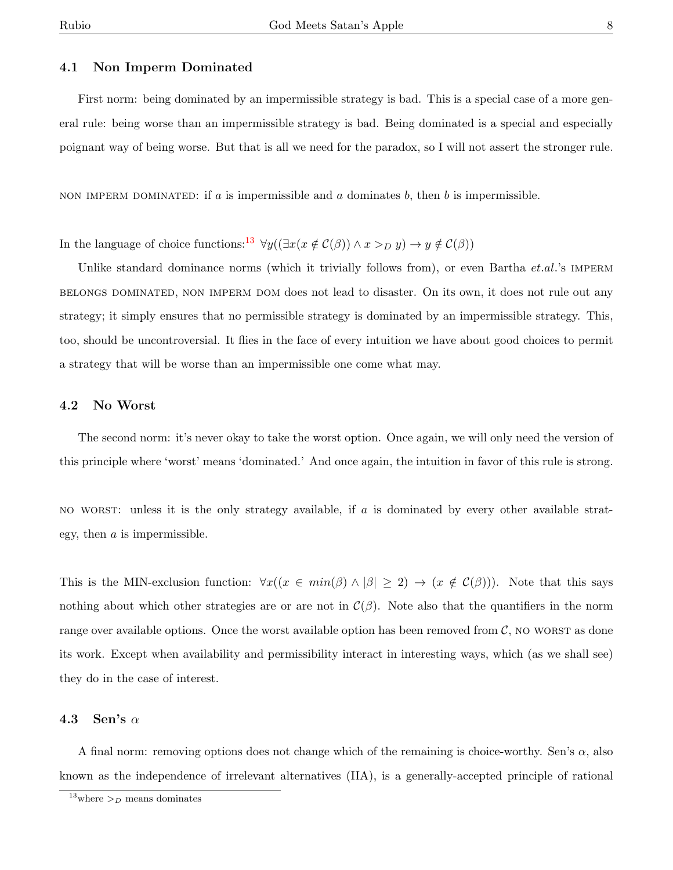#### 4.1 Non Imperm Dominated

First norm: being dominated by an impermissible strategy is bad. This is a special case of a more general rule: being worse than an impermissible strategy is bad. Being dominated is a special and especially poignant way of being worse. But that is all we need for the paradox, so I will not assert the stronger rule.

NON IMPERM DOMINATED: if a is impermissible and a dominates b, then b is impermissible.

In the language of choice functions:<sup>[13](#page-0-0)</sup>  $\forall y((\exists x(x \notin C(\beta)) \land x >_D y) \rightarrow y \notin C(\beta))$ 

Unlike standard dominance norms (which it trivially follows from), or even Bartha  $et.al.'s$  IMPERM belongs dominated, non imperm dom does not lead to disaster. On its own, it does not rule out any strategy; it simply ensures that no permissible strategy is dominated by an impermissible strategy. This, too, should be uncontroversial. It flies in the face of every intuition we have about good choices to permit a strategy that will be worse than an impermissible one come what may.

#### 4.2 No Worst

The second norm: it's never okay to take the worst option. Once again, we will only need the version of this principle where 'worst' means 'dominated.' And once again, the intuition in favor of this rule is strong.

no wordstrategy available, if a is dominated by every other available strategy, then a is impermissible.

This is the MIN-exclusion function:  $\forall x((x \in min(\beta) \land |\beta| \geq 2) \rightarrow (x \notin C(\beta)))$ . Note that this says nothing about which other strategies are or are not in  $\mathcal{C}(\beta)$ . Note also that the quantifiers in the norm range over available options. Once the worst available option has been removed from  $C$ , no worst as done its work. Except when availability and permissibility interact in interesting ways, which (as we shall see) they do in the case of interest.

#### 4.3 Sen's  $\alpha$

A final norm: removing options does not change which of the remaining is choice-worthy. Sen's  $\alpha$ , also known as the independence of irrelevant alternatives (IIA), is a generally-accepted principle of rational

<sup>&</sup>lt;sup>13</sup>where  $>_{D}$  means dominates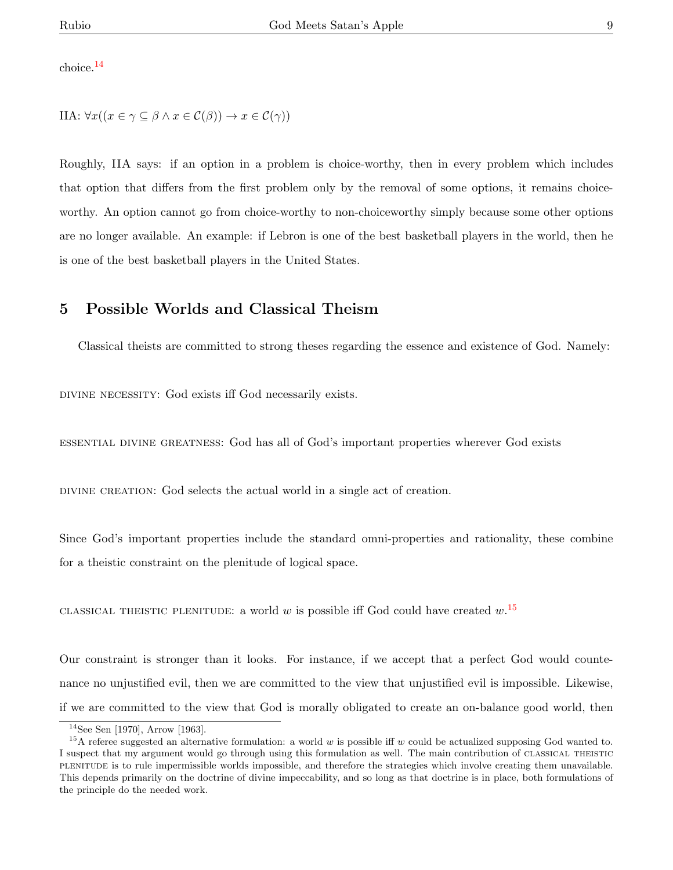choice.[14](#page-0-0)

IIA:  $\forall x((x \in \gamma \subseteq \beta \land x \in C(\beta)) \rightarrow x \in C(\gamma))$ 

Roughly, IIA says: if an option in a problem is choice-worthy, then in every problem which includes that option that differs from the first problem only by the removal of some options, it remains choiceworthy. An option cannot go from choice-worthy to non-choiceworthy simply because some other options are no longer available. An example: if Lebron is one of the best basketball players in the world, then he is one of the best basketball players in the United States.

## 5 Possible Worlds and Classical Theism

Classical theists are committed to strong theses regarding the essence and existence of God. Namely:

divine necessity: God exists iff God necessarily exists.

essential divine greatness: God has all of God's important properties wherever God exists

divine creation: God selects the actual world in a single act of creation.

Since God's important properties include the standard omni-properties and rationality, these combine for a theistic constraint on the plenitude of logical space.

CLASSICAL THEISTIC PLENITUDE: a world w is possible iff God could have created  $w$ .<sup>[15](#page-0-0)</sup>

Our constraint is stronger than it looks. For instance, if we accept that a perfect God would countenance no unjustified evil, then we are committed to the view that unjustified evil is impossible. Likewise, if we are committed to the view that God is morally obligated to create an on-balance good world, then

<sup>14</sup>See Sen [1970], Arrow [1963].

<sup>&</sup>lt;sup>15</sup>A referee suggested an alternative formulation: a world w is possible iff w could be actualized supposing God wanted to. I suspect that my argument would go through using this formulation as well. The main contribution of CLASSICAL THEISTIC plenitude is to rule impermissible worlds impossible, and therefore the strategies which involve creating them unavailable. This depends primarily on the doctrine of divine impeccability, and so long as that doctrine is in place, both formulations of the principle do the needed work.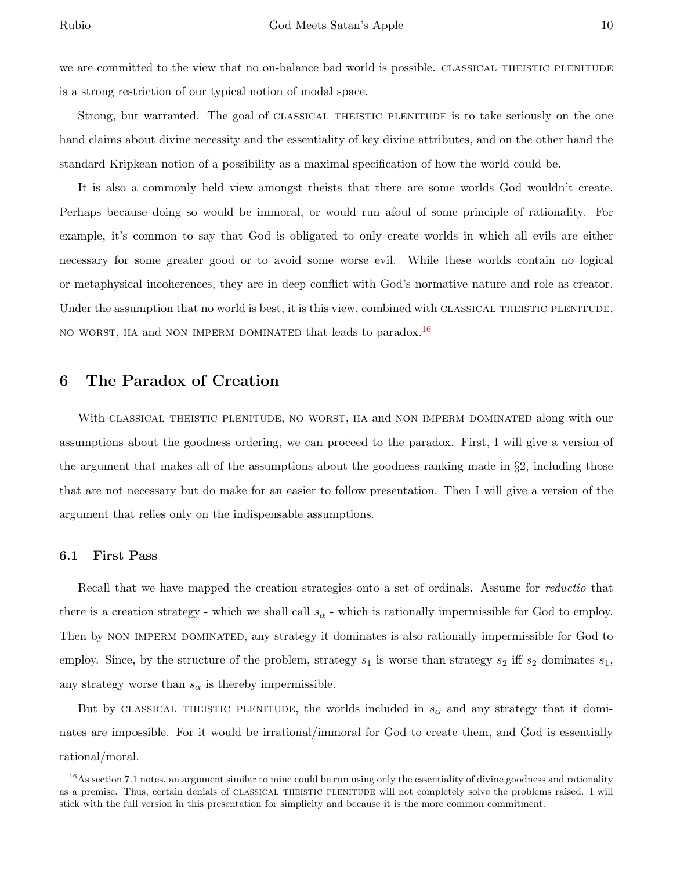we are committed to the view that no on-balance bad world is possible. CLASSICAL THEISTIC PLENITUDE is a strong restriction of our typical notion of modal space.

Strong, but warranted. The goal of CLASSICAL THEISTIC PLENITUDE is to take seriously on the one hand claims about divine necessity and the essentiality of key divine attributes, and on the other hand the standard Kripkean notion of a possibility as a maximal specification of how the world could be.

It is also a commonly held view amongst theists that there are some worlds God wouldn't create. Perhaps because doing so would be immoral, or would run afoul of some principle of rationality. For example, it's common to say that God is obligated to only create worlds in which all evils are either necessary for some greater good or to avoid some worse evil. While these worlds contain no logical or metaphysical incoherences, they are in deep conflict with God's normative nature and role as creator. Under the assumption that no world is best, it is this view, combined with CLASSICAL THEISTIC PLENITUDE, no worst, iia and non imperm dominated that leads to paradox.<sup>[16](#page-0-0)</sup>

## 6 The Paradox of Creation

With CLASSICAL THEISTIC PLENITUDE, NO WORST, IIA and NON IMPERM DOMINATED along with our assumptions about the goodness ordering, we can proceed to the paradox. First, I will give a version of the argument that makes all of the assumptions about the goodness ranking made in §2, including those that are not necessary but do make for an easier to follow presentation. Then I will give a version of the argument that relies only on the indispensable assumptions.

#### 6.1 First Pass

Recall that we have mapped the creation strategies onto a set of ordinals. Assume for *reductio* that there is a creation strategy - which we shall call  $s_{\alpha}$  - which is rationally impermissible for God to employ. Then by NON IMPERM DOMINATED, any strategy it dominates is also rationally impermissible for God to employ. Since, by the structure of the problem, strategy  $s_1$  is worse than strategy  $s_2$  iff  $s_2$  dominates  $s_1$ , any strategy worse than  $s_{\alpha}$  is thereby impermissible.

But by CLASSICAL THEISTIC PLENITUDE, the worlds included in  $s_{\alpha}$  and any strategy that it dominates are impossible. For it would be irrational/immoral for God to create them, and God is essentially rational/moral.

 $16$ As section 7.1 notes, an argument similar to mine could be run using only the essentiality of divine goodness and rationality as a premise. Thus, certain denials of CLASSICAL THEISTIC PLENITUDE will not completely solve the problems raised. I will stick with the full version in this presentation for simplicity and because it is the more common commitment.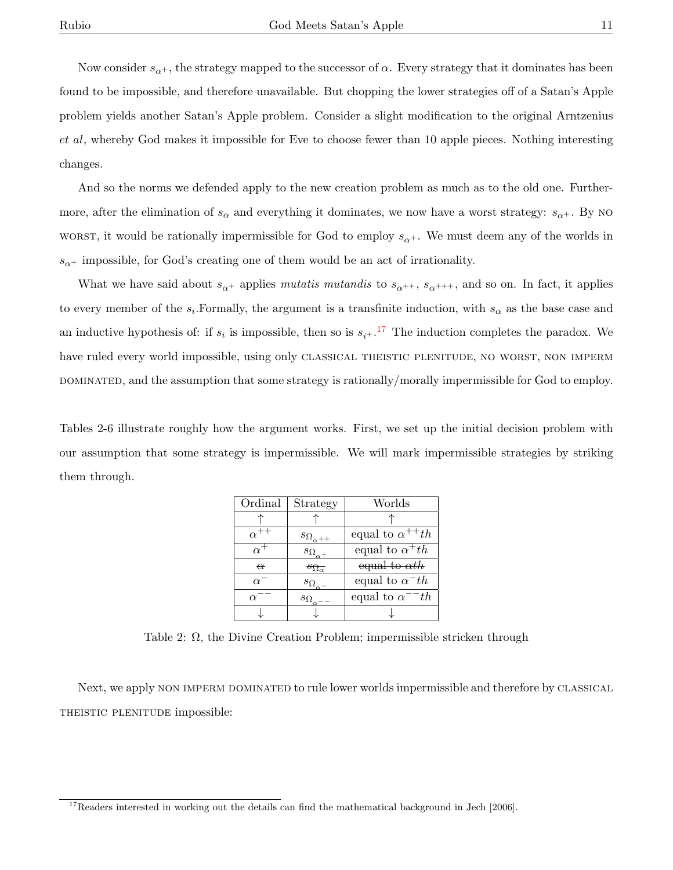Now consider  $s_{\alpha+}$ , the strategy mapped to the successor of  $\alpha$ . Every strategy that it dominates has been found to be impossible, and therefore unavailable. But chopping the lower strategies off of a Satan's Apple problem yields another Satan's Apple problem. Consider a slight modification to the original Arntzenius et al, whereby God makes it impossible for Eve to choose fewer than 10 apple pieces. Nothing interesting changes.

And so the norms we defended apply to the new creation problem as much as to the old one. Furthermore, after the elimination of  $s_{\alpha}$  and everything it dominates, we now have a worst strategy:  $s_{\alpha^+}$ . By NO wordst words be rationally impermissible for God to employ  $s_{\alpha+}$ . We must deem any of the worlds in  $s_{\alpha}$ + impossible, for God's creating one of them would be an act of irrationality.

What we have said about  $s_{\alpha^+}$  applies mutatis mutandis to  $s_{\alpha^{++}}$ ,  $s_{\alpha^{+++}}$ , and so on. In fact, it applies to every member of the  $s_i$ . Formally, the argument is a transfinite induction, with  $s_\alpha$  as the base case and an inductive hypothesis of: if  $s_i$  is impossible, then so is  $s_{i+}$ .<sup>[17](#page-0-0)</sup> The induction completes the paradox. We have ruled every world impossible, using only CLASSICAL THEISTIC PLENITUDE, NO WORST, NON IMPERM DOMINATED, and the assumption that some strategy is rationally/morally impermissible for God to employ.

Tables 2-6 illustrate roughly how the argument works. First, we set up the initial decision problem with our assumption that some strategy is impermissible. We will mark impermissible strategies by striking them through.

| Ordinal    | Strategy                    | Worlds                    |
|------------|-----------------------------|---------------------------|
|            |                             |                           |
|            | $s_{\Omega_{\alpha + \pm}}$ | equal to $\alpha^{++}$ th |
| $\alpha^+$ | $s_{\Omega_{\alpha}+}$      | equal to $\alpha^+th$     |
| $\alpha$   | $s_{\Omega_{\alpha}}$       | equal to $\alpha th$      |
| $\alpha^-$ | $s_{\Omega}$                | equal to $\alpha^-$ th    |
| $\alpha$   | $s_\Omega$                  | equal to $\alpha^{-1}$    |
|            |                             |                           |

Table 2:  $\Omega$ , the Divine Creation Problem; impermissible stricken through

Next, we apply NON IMPERM DOMINATED to rule lower worlds impermissible and therefore by CLASSICAL theistic plenitude impossible:

 $17$ Readers interested in working out the details can find the mathematical background in Jech [2006].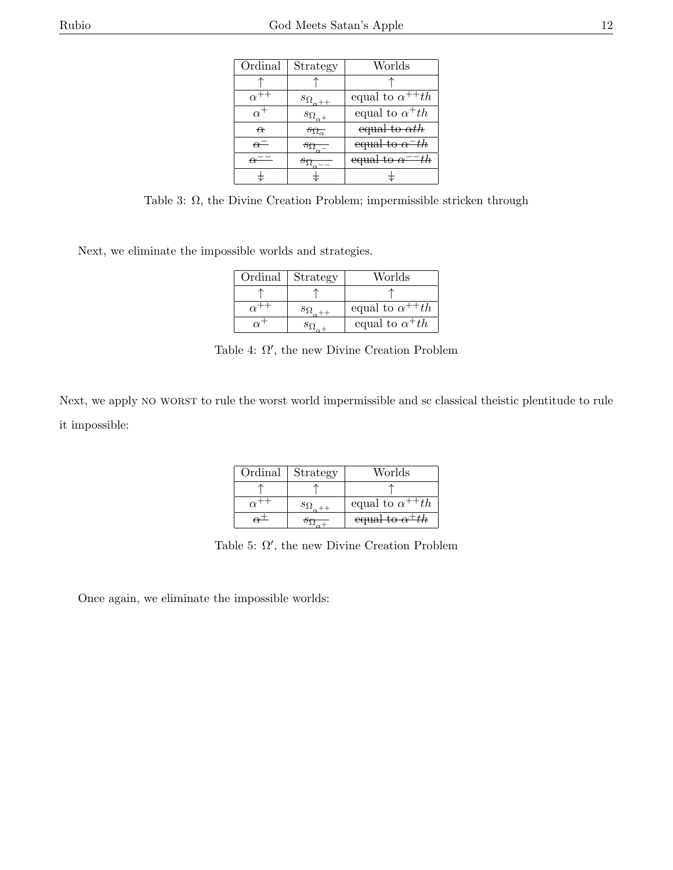| . . |  |
|-----|--|
|     |  |

| Ordinal             | Strategy                  | Worlds                              |
|---------------------|---------------------------|-------------------------------------|
|                     |                           |                                     |
|                     | $s_{\Omega_{\alpha+\pm}}$ | equal to $\alpha^{++}th$            |
| $\alpha$ '          | $s_{\Omega_{\alpha}+}$    | equal to $\alpha^+th$               |
| $\alpha$            | $s_{\Omega_{\alpha}}$     | equal to $\alpha th$                |
| $\overline{\alpha}$ |                           | equal to $\alpha$ <sup>-th</sup>    |
|                     |                           | equal to $\alpha$ <sup>---</sup> th |
|                     |                           |                                     |

Table 3: Ω, the Divine Creation Problem; impermissible stricken through

Next, we eliminate the impossible worlds and strategies.

| Ordinal | Strategy | Worlds                   |
|---------|----------|--------------------------|
|         |          |                          |
|         |          | equal to $\alpha^{++}th$ |
|         |          | equal to $\alpha^+th$    |

Table 4:  $\Omega'$ , the new Divine Creation Problem

Next, we apply no worst to rule the worst world impermissible and sc classical theistic plentitude to rule it impossible:

| Ordinal | Strategy  | Worlds                    |
|---------|-----------|---------------------------|
|         |           |                           |
|         | $5\Omega$ | equal to $\alpha^{++}$ th |
|         |           |                           |

Table 5:  $\Omega'$ , the new Divine Creation Problem

Once again, we eliminate the impossible worlds: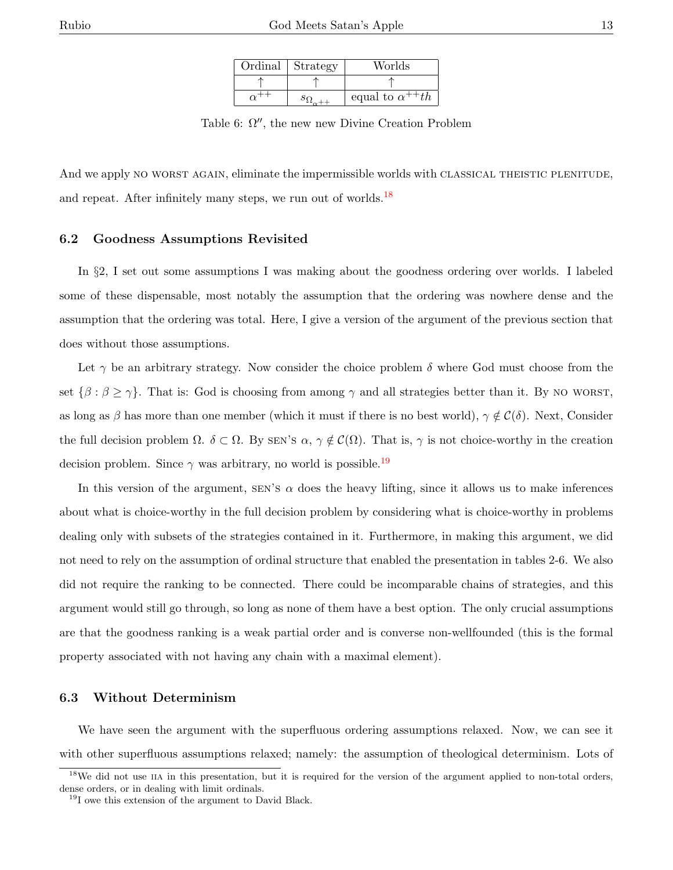| Ordinal | Strategy | Worlds                   |
|---------|----------|--------------------------|
|         |          |                          |
|         |          | equal to $\alpha^{++}th$ |

Table 6:  $\Omega''$ , the new new Divine Creation Problem

And we apply NO WORST AGAIN, eliminate the impermissible worlds with CLASSICAL THEISTIC PLENITUDE, and repeat. After infinitely many steps, we run out of worlds. $^{18}$  $^{18}$  $^{18}$ 

#### 6.2 Goodness Assumptions Revisited

In §2, I set out some assumptions I was making about the goodness ordering over worlds. I labeled some of these dispensable, most notably the assumption that the ordering was nowhere dense and the assumption that the ordering was total. Here, I give a version of the argument of the previous section that does without those assumptions.

Let  $\gamma$  be an arbitrary strategy. Now consider the choice problem  $\delta$  where God must choose from the set  $\{\beta : \beta \geq \gamma\}$ . That is: God is choosing from among  $\gamma$  and all strategies better than it. By NO WORST, as long as β has more than one member (which it must if there is no best world),  $\gamma \notin C(\delta)$ . Next, Consider the full decision problem  $\Omega$ .  $\delta \subset \Omega$ . By SEN's  $\alpha, \gamma \notin C(\Omega)$ . That is,  $\gamma$  is not choice-worthy in the creation decision problem. Since  $\gamma$  was arbitrary, no world is possible.<sup>[19](#page-0-0)</sup>

In this version of the argument, SEN's  $\alpha$  does the heavy lifting, since it allows us to make inferences about what is choice-worthy in the full decision problem by considering what is choice-worthy in problems dealing only with subsets of the strategies contained in it. Furthermore, in making this argument, we did not need to rely on the assumption of ordinal structure that enabled the presentation in tables 2-6. We also did not require the ranking to be connected. There could be incomparable chains of strategies, and this argument would still go through, so long as none of them have a best option. The only crucial assumptions are that the goodness ranking is a weak partial order and is converse non-wellfounded (this is the formal property associated with not having any chain with a maximal element).

#### 6.3 Without Determinism

We have seen the argument with the superfluous ordering assumptions relaxed. Now, we can see it with other superfluous assumptions relaxed; namely: the assumption of theological determinism. Lots of

<sup>&</sup>lt;sup>18</sup>We did not use IIA in this presentation, but it is required for the version of the argument applied to non-total orders, dense orders, or in dealing with limit ordinals.

<sup>&</sup>lt;sup>19</sup>I owe this extension of the argument to David Black.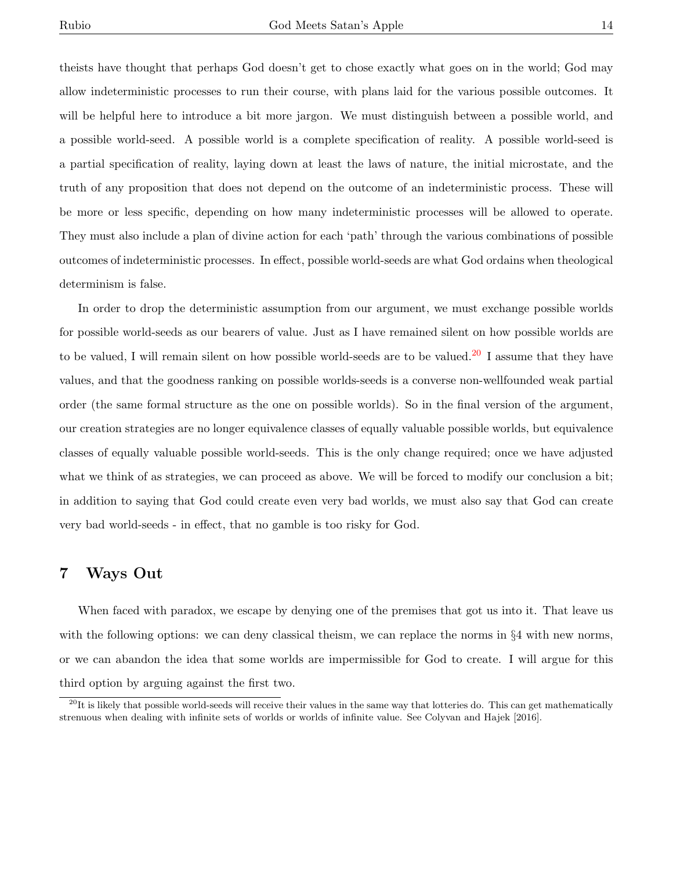theists have thought that perhaps God doesn't get to chose exactly what goes on in the world; God may allow indeterministic processes to run their course, with plans laid for the various possible outcomes. It will be helpful here to introduce a bit more jargon. We must distinguish between a possible world, and a possible world-seed. A possible world is a complete specification of reality. A possible world-seed is a partial specification of reality, laying down at least the laws of nature, the initial microstate, and the truth of any proposition that does not depend on the outcome of an indeterministic process. These will be more or less specific, depending on how many indeterministic processes will be allowed to operate. They must also include a plan of divine action for each 'path' through the various combinations of possible outcomes of indeterministic processes. In effect, possible world-seeds are what God ordains when theological determinism is false.

In order to drop the deterministic assumption from our argument, we must exchange possible worlds for possible world-seeds as our bearers of value. Just as I have remained silent on how possible worlds are to be valued, I will remain silent on how possible world-seeds are to be valued.<sup>[20](#page-0-0)</sup> I assume that they have values, and that the goodness ranking on possible worlds-seeds is a converse non-wellfounded weak partial order (the same formal structure as the one on possible worlds). So in the final version of the argument, our creation strategies are no longer equivalence classes of equally valuable possible worlds, but equivalence classes of equally valuable possible world-seeds. This is the only change required; once we have adjusted what we think of as strategies, we can proceed as above. We will be forced to modify our conclusion a bit; in addition to saying that God could create even very bad worlds, we must also say that God can create very bad world-seeds - in effect, that no gamble is too risky for God.

## 7 Ways Out

When faced with paradox, we escape by denying one of the premises that got us into it. That leave us with the following options: we can deny classical theism, we can replace the norms in  $\S 4$  with new norms, or we can abandon the idea that some worlds are impermissible for God to create. I will argue for this third option by arguing against the first two.

 $^{20}$ It is likely that possible world-seeds will receive their values in the same way that lotteries do. This can get mathematically strenuous when dealing with infinite sets of worlds or worlds of infinite value. See Colyvan and Hajek [2016].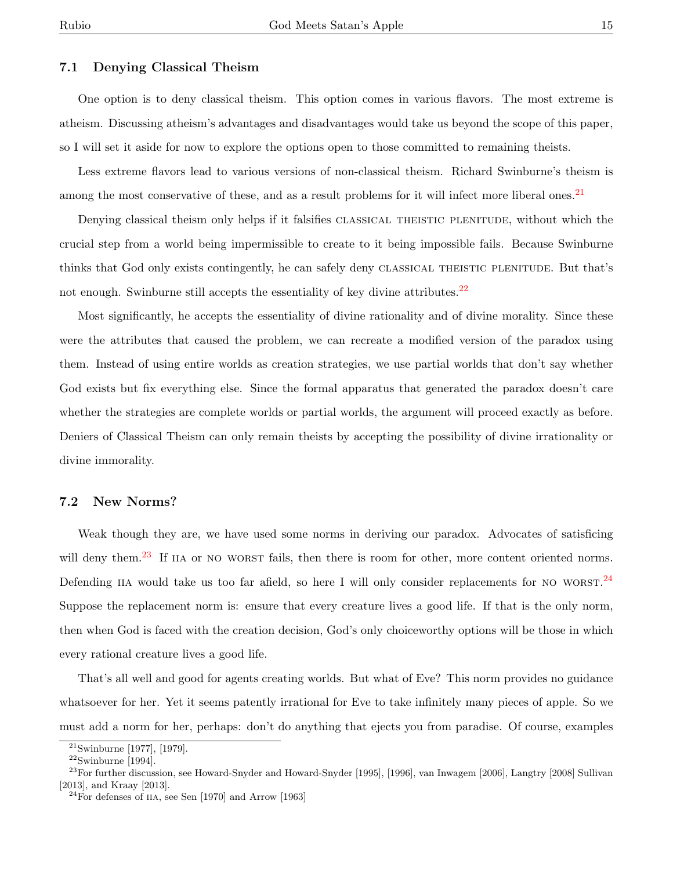#### 7.1 Denying Classical Theism

One option is to deny classical theism. This option comes in various flavors. The most extreme is atheism. Discussing atheism's advantages and disadvantages would take us beyond the scope of this paper, so I will set it aside for now to explore the options open to those committed to remaining theists.

Less extreme flavors lead to various versions of non-classical theism. Richard Swinburne's theism is among the most conservative of these, and as a result problems for it will infect more liberal ones.<sup>[21](#page-0-0)</sup>

Denying classical theism only helps if it falsifies CLASSICAL THEISTIC PLENITUDE, without which the crucial step from a world being impermissible to create to it being impossible fails. Because Swinburne thinks that God only exists contingently, he can safely deny classical theistic plenitude. But that's not enough. Swinburne still accepts the essentiality of key divine attributes. $22$ 

Most significantly, he accepts the essentiality of divine rationality and of divine morality. Since these were the attributes that caused the problem, we can recreate a modified version of the paradox using them. Instead of using entire worlds as creation strategies, we use partial worlds that don't say whether God exists but fix everything else. Since the formal apparatus that generated the paradox doesn't care whether the strategies are complete worlds or partial worlds, the argument will proceed exactly as before. Deniers of Classical Theism can only remain theists by accepting the possibility of divine irrationality or divine immorality.

#### 7.2 New Norms?

Weak though they are, we have used some norms in deriving our paradox. Advocates of satisficing will deny them.<sup>[23](#page-0-0)</sup> If IIA or NO WORST fails, then there is room for other, more content oriented norms. Defending IIA would take us too far afield, so here I will only consider replacements for NO WORST.  $^{24}$  $^{24}$  $^{24}$ Suppose the replacement norm is: ensure that every creature lives a good life. If that is the only norm, then when God is faced with the creation decision, God's only choiceworthy options will be those in which every rational creature lives a good life.

That's all well and good for agents creating worlds. But what of Eve? This norm provides no guidance whatsoever for her. Yet it seems patently irrational for Eve to take infinitely many pieces of apple. So we must add a norm for her, perhaps: don't do anything that ejects you from paradise. Of course, examples

<sup>21</sup>Swinburne [1977], [1979].

 $\rm ^{22}Swinburne$  [1994].

 $^{23}$ For further discussion, see Howard-Snyder and Howard-Snyder [1995], [1996], van Inwagem [2006], Langtry [2008] Sullivan [2013], and Kraay [2013].

 $^{24}$ For defenses of IIA, see Sen [1970] and Arrow [1963]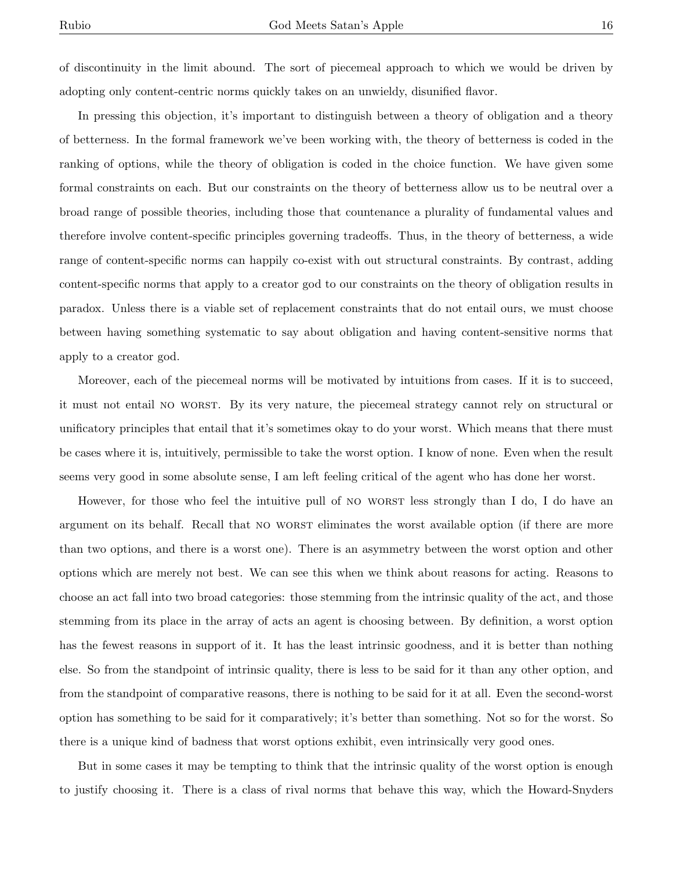of discontinuity in the limit abound. The sort of piecemeal approach to which we would be driven by adopting only content-centric norms quickly takes on an unwieldy, disunified flavor.

In pressing this objection, it's important to distinguish between a theory of obligation and a theory of betterness. In the formal framework we've been working with, the theory of betterness is coded in the ranking of options, while the theory of obligation is coded in the choice function. We have given some formal constraints on each. But our constraints on the theory of betterness allow us to be neutral over a broad range of possible theories, including those that countenance a plurality of fundamental values and therefore involve content-specific principles governing tradeoffs. Thus, in the theory of betterness, a wide range of content-specific norms can happily co-exist with out structural constraints. By contrast, adding content-specific norms that apply to a creator god to our constraints on the theory of obligation results in paradox. Unless there is a viable set of replacement constraints that do not entail ours, we must choose between having something systematic to say about obligation and having content-sensitive norms that apply to a creator god.

Moreover, each of the piecemeal norms will be motivated by intuitions from cases. If it is to succeed, it must not entail no worst. By its very nature, the piecemeal strategy cannot rely on structural or unificatory principles that entail that it's sometimes okay to do your worst. Which means that there must be cases where it is, intuitively, permissible to take the worst option. I know of none. Even when the result seems very good in some absolute sense, I am left feeling critical of the agent who has done her worst.

However, for those who feel the intuitive pull of NO WORST less strongly than I do, I do have an argument on its behalf. Recall that no worst eliminates the worst available option (if there are more than two options, and there is a worst one). There is an asymmetry between the worst option and other options which are merely not best. We can see this when we think about reasons for acting. Reasons to choose an act fall into two broad categories: those stemming from the intrinsic quality of the act, and those stemming from its place in the array of acts an agent is choosing between. By definition, a worst option has the fewest reasons in support of it. It has the least intrinsic goodness, and it is better than nothing else. So from the standpoint of intrinsic quality, there is less to be said for it than any other option, and from the standpoint of comparative reasons, there is nothing to be said for it at all. Even the second-worst option has something to be said for it comparatively; it's better than something. Not so for the worst. So there is a unique kind of badness that worst options exhibit, even intrinsically very good ones.

But in some cases it may be tempting to think that the intrinsic quality of the worst option is enough to justify choosing it. There is a class of rival norms that behave this way, which the Howard-Snyders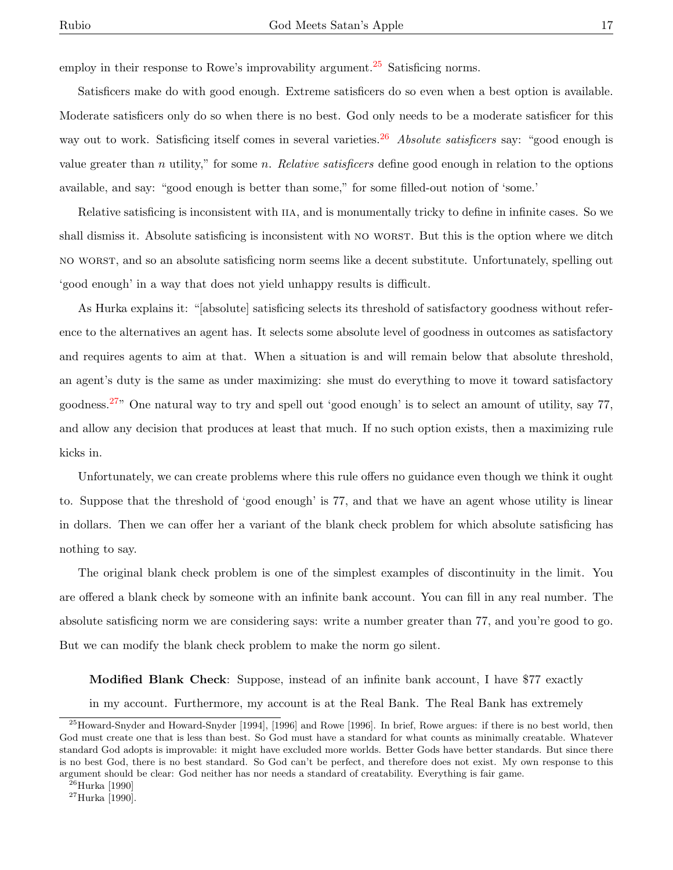employ in their response to Rowe's improvability argument.<sup>[25](#page-0-0)</sup> Satisficing norms.

Satisficers make do with good enough. Extreme satisficers do so even when a best option is available. Moderate satisficers only do so when there is no best. God only needs to be a moderate satisficer for this way out to work. Satisficing itself comes in several varieties.<sup>[26](#page-0-0)</sup> Absolute satisficers say: "good enough is value greater than n utility," for some n. Relative satisficers define good enough in relation to the options available, and say: "good enough is better than some," for some filled-out notion of 'some.'

Relative satisficing is inconsistent with IIA, and is monumentally tricky to define in infinite cases. So we shall dismiss it. Absolute satisficing is inconsistent with NO WORST. But this is the option where we ditch no worst, and so an absolute satisficing norm seems like a decent substitute. Unfortunately, spelling out 'good enough' in a way that does not yield unhappy results is difficult.

As Hurka explains it: "[absolute] satisficing selects its threshold of satisfactory goodness without reference to the alternatives an agent has. It selects some absolute level of goodness in outcomes as satisfactory and requires agents to aim at that. When a situation is and will remain below that absolute threshold, an agent's duty is the same as under maximizing: she must do everything to move it toward satisfactory goodness.[27](#page-0-0)" One natural way to try and spell out 'good enough' is to select an amount of utility, say 77, and allow any decision that produces at least that much. If no such option exists, then a maximizing rule kicks in.

Unfortunately, we can create problems where this rule offers no guidance even though we think it ought to. Suppose that the threshold of 'good enough' is 77, and that we have an agent whose utility is linear in dollars. Then we can offer her a variant of the blank check problem for which absolute satisficing has nothing to say.

The original blank check problem is one of the simplest examples of discontinuity in the limit. You are offered a blank check by someone with an infinite bank account. You can fill in any real number. The absolute satisficing norm we are considering says: write a number greater than 77, and you're good to go. But we can modify the blank check problem to make the norm go silent.

Modified Blank Check: Suppose, instead of an infinite bank account, I have \$77 exactly

in my account. Furthermore, my account is at the Real Bank. The Real Bank has extremely

 $^{25}$ Howard-Snyder and Howard-Snyder [1994], [1996] and Rowe [1996]. In brief, Rowe argues: if there is no best world, then God must create one that is less than best. So God must have a standard for what counts as minimally creatable. Whatever standard God adopts is improvable: it might have excluded more worlds. Better Gods have better standards. But since there is no best God, there is no best standard. So God can't be perfect, and therefore does not exist. My own response to this argument should be clear: God neither has nor needs a standard of creatability. Everything is fair game.

 $^{26}$ Hurka [1990]

 $^{27}\rm{Hurka}$  [1990].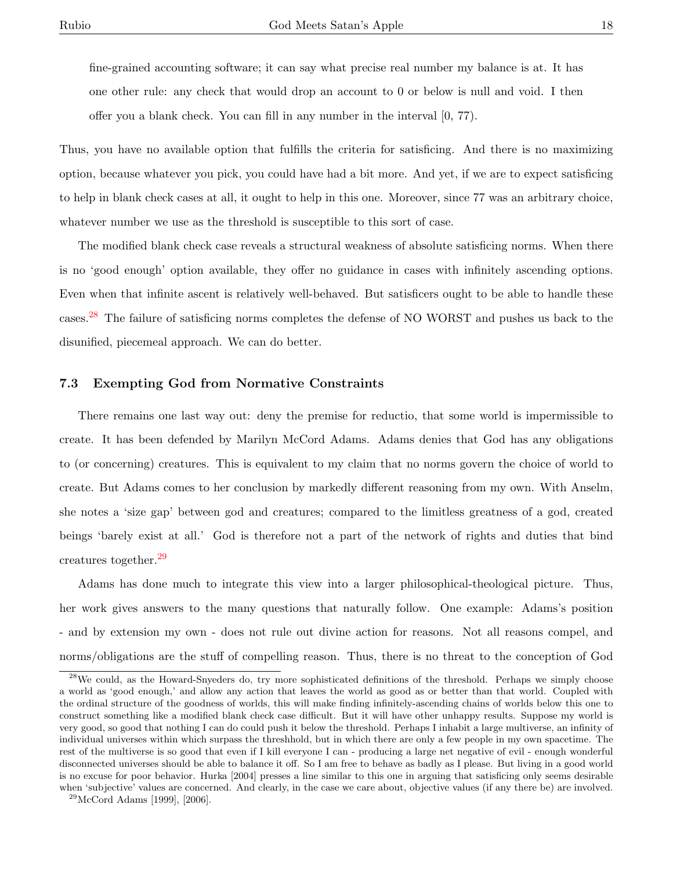fine-grained accounting software; it can say what precise real number my balance is at. It has one other rule: any check that would drop an account to 0 or below is null and void. I then offer you a blank check. You can fill in any number in the interval [0, 77).

Thus, you have no available option that fulfills the criteria for satisficing. And there is no maximizing option, because whatever you pick, you could have had a bit more. And yet, if we are to expect satisficing to help in blank check cases at all, it ought to help in this one. Moreover, since 77 was an arbitrary choice, whatever number we use as the threshold is susceptible to this sort of case.

The modified blank check case reveals a structural weakness of absolute satisficing norms. When there is no 'good enough' option available, they offer no guidance in cases with infinitely ascending options. Even when that infinite ascent is relatively well-behaved. But satisficers ought to be able to handle these cases.[28](#page-0-0) The failure of satisficing norms completes the defense of NO WORST and pushes us back to the disunified, piecemeal approach. We can do better.

#### 7.3 Exempting God from Normative Constraints

There remains one last way out: deny the premise for reductio, that some world is impermissible to create. It has been defended by Marilyn McCord Adams. Adams denies that God has any obligations to (or concerning) creatures. This is equivalent to my claim that no norms govern the choice of world to create. But Adams comes to her conclusion by markedly different reasoning from my own. With Anselm, she notes a 'size gap' between god and creatures; compared to the limitless greatness of a god, created beings 'barely exist at all.' God is therefore not a part of the network of rights and duties that bind creatures together.[29](#page-0-0)

Adams has done much to integrate this view into a larger philosophical-theological picture. Thus, her work gives answers to the many questions that naturally follow. One example: Adams's position - and by extension my own - does not rule out divine action for reasons. Not all reasons compel, and norms/obligations are the stuff of compelling reason. Thus, there is no threat to the conception of God

<sup>&</sup>lt;sup>28</sup>We could, as the Howard-Snyeders do, try more sophisticated definitions of the threshold. Perhaps we simply choose a world as 'good enough,' and allow any action that leaves the world as good as or better than that world. Coupled with the ordinal structure of the goodness of worlds, this will make finding infinitely-ascending chains of worlds below this one to construct something like a modified blank check case difficult. But it will have other unhappy results. Suppose my world is very good, so good that nothing I can do could push it below the threshold. Perhaps I inhabit a large multiverse, an infinity of individual universes within which surpass the threshhold, but in which there are only a few people in my own spacetime. The rest of the multiverse is so good that even if I kill everyone I can - producing a large net negative of evil - enough wonderful disconnected universes should be able to balance it off. So I am free to behave as badly as I please. But living in a good world is no excuse for poor behavior. Hurka [2004] presses a line similar to this one in arguing that satisficing only seems desirable when 'subjective' values are concerned. And clearly, in the case we care about, objective values (if any there be) are involved.

<sup>29</sup>McCord Adams [1999], [2006].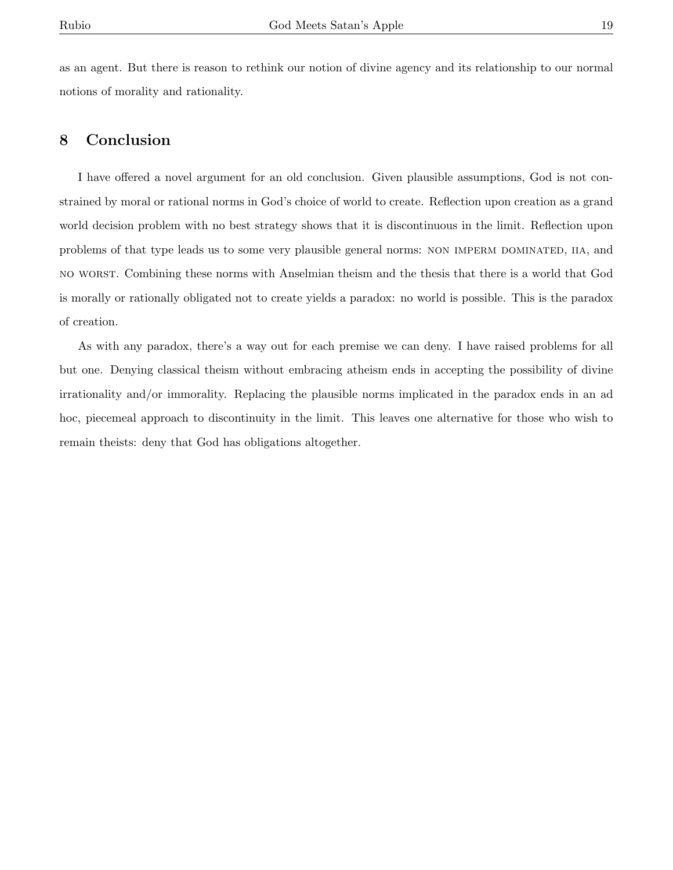as an agent. But there is reason to rethink our notion of divine agency and its relationship to our normal notions of morality and rationality.

## 8 Conclusion

I have offered a novel argument for an old conclusion. Given plausible assumptions, God is not constrained by moral or rational norms in God's choice of world to create. Reflection upon creation as a grand world decision problem with no best strategy shows that it is discontinuous in the limit. Reflection upon problems of that type leads us to some very plausible general norms: NON IMPERM DOMINATED, IIA, and no worst. Combining these norms with Anselmian theism and the thesis that there is a world that God is morally or rationally obligated not to create yields a paradox: no world is possible. This is the paradox of creation.

As with any paradox, there's a way out for each premise we can deny. I have raised problems for all but one. Denying classical theism without embracing atheism ends in accepting the possibility of divine irrationality and/or immorality. Replacing the plausible norms implicated in the paradox ends in an ad hoc, piecemeal approach to discontinuity in the limit. This leaves one alternative for those who wish to remain theists: deny that God has obligations altogether.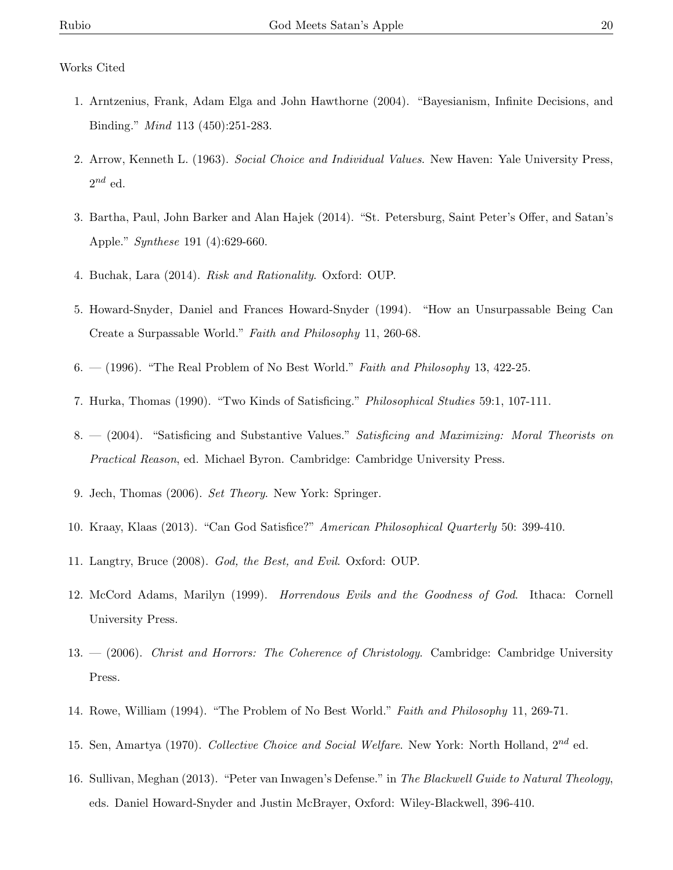### Works Cited

- 1. Arntzenius, Frank, Adam Elga and John Hawthorne (2004). "Bayesianism, Infinite Decisions, and Binding." Mind 113 (450):251-283.
- 2. Arrow, Kenneth L. (1963). Social Choice and Individual Values. New Haven: Yale University Press,  $2^{nd}$  ed.
- 3. Bartha, Paul, John Barker and Alan Hajek (2014). "St. Petersburg, Saint Peter's Offer, and Satan's Apple." Synthese 191 (4):629-660.
- 4. Buchak, Lara (2014). Risk and Rationality. Oxford: OUP.
- 5. Howard-Snyder, Daniel and Frances Howard-Snyder (1994). "How an Unsurpassable Being Can Create a Surpassable World." Faith and Philosophy 11, 260-68.
- 6.  $-$  (1996). "The Real Problem of No Best World." *Faith and Philosophy* 13, 422-25.
- 7. Hurka, Thomas (1990). "Two Kinds of Satisficing." Philosophical Studies 59:1, 107-111.
- 8.  $-$  (2004). "Satisficing and Substantive Values." Satisficing and Maximizing: Moral Theorists on Practical Reason, ed. Michael Byron. Cambridge: Cambridge University Press.
- 9. Jech, Thomas (2006). Set Theory. New York: Springer.
- 10. Kraay, Klaas (2013). "Can God Satisfice?" American Philosophical Quarterly 50: 399-410.
- 11. Langtry, Bruce (2008). God, the Best, and Evil. Oxford: OUP.
- 12. McCord Adams, Marilyn (1999). Horrendous Evils and the Goodness of God. Ithaca: Cornell University Press.
- $13. (2006)$ . Christ and Horrors: The Coherence of Christology. Cambridge: Cambridge University Press.
- 14. Rowe, William (1994). "The Problem of No Best World." Faith and Philosophy 11, 269-71.
- 15. Sen, Amartya (1970). Collective Choice and Social Welfare. New York: North Holland,  $2^{nd}$  ed.
- 16. Sullivan, Meghan (2013). "Peter van Inwagen's Defense." in The Blackwell Guide to Natural Theology, eds. Daniel Howard-Snyder and Justin McBrayer, Oxford: Wiley-Blackwell, 396-410.